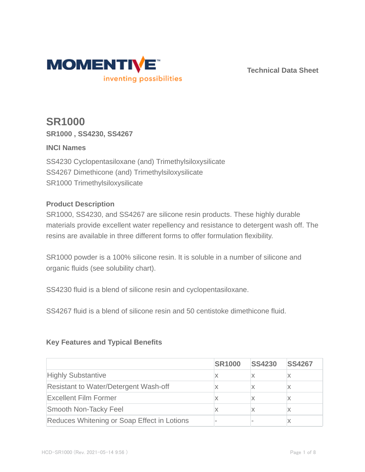

**Technical Data Sheet**

# **SR1000 SR1000 , SS4230, SS4267**

## **INCI Names**

SS4230 Cyclopentasiloxane (and) Trimethylsiloxysilicate SS4267 Dimethicone (and) Trimethylsiloxysilicate SR1000 Trimethylsiloxysilicate

#### **Product Description**

SR1000, SS4230, and SS4267 are silicone resin products. These highly durable materials provide excellent water repellency and resistance to detergent wash off. The resins are available in three different forms to offer formulation flexibility.

SR1000 powder is a 100% silicone resin. It is soluble in a number of silicone and organic fluids (see solubility chart).

SS4230 fluid is a blend of silicone resin and cyclopentasiloxane.

SS4267 fluid is a blend of silicone resin and 50 centistoke dimethicone fluid.

## **Key Features and Typical Benefits**

|                                              | <b>SR1000</b> | <b>SS4230</b> | <b>SS4267</b> |
|----------------------------------------------|---------------|---------------|---------------|
| <b>Highly Substantive</b>                    |               |               |               |
| <b>Resistant to Water/Detergent Wash-off</b> |               |               |               |
| <b>Excellent Film Former</b>                 |               |               |               |
| Smooth Non-Tacky Feel                        |               |               |               |
| Reduces Whitening or Soap Effect in Lotions  |               |               |               |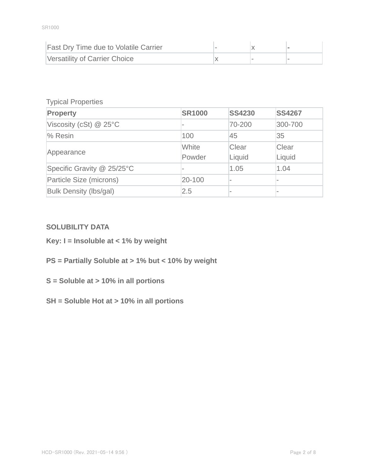| <b>Fast Dry Time due to Volatile Carrier</b> |  |  |
|----------------------------------------------|--|--|
| Versatility of Carrier Choice                |  |  |

#### Typical Properties

| Property                   | <b>SR1000</b> | <b>SS4230</b> | <b>SS4267</b>            |
|----------------------------|---------------|---------------|--------------------------|
| Viscosity (cSt) $@$ 25°C   |               | 70-200        | 300-700                  |
| % Resin                    | 100           | 45            | 35                       |
|                            | White         | Clear         | Clear                    |
| Appearance                 | Powder        | Liquid        | Liquid                   |
| Specific Gravity @ 25/25°C |               | 1.05          | 1.04                     |
| Particle Size (microns)    | 20-100        |               |                          |
| Bulk Density (lbs/gal)     | 2.5           |               | $\overline{\phantom{a}}$ |

#### **SOLUBILITY DATA**

- **Key: I = Insoluble at < 1% by weight**
- **PS = Partially Soluble at > 1% but < 10% by weight**
- **S = Soluble at > 10% in all portions**
- **SH = Soluble Hot at > 10% in all portions**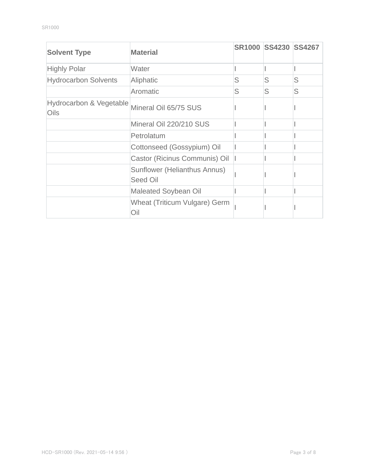| <b>Solvent Type</b>                               | <b>Material</b>                          |   | SR1000 SS4230 SS4267 |   |
|---------------------------------------------------|------------------------------------------|---|----------------------|---|
| <b>Highly Polar</b>                               | Water                                    |   |                      |   |
| <b>Hydrocarbon Solvents</b>                       | Aliphatic                                | S | S                    | S |
|                                                   | Aromatic                                 | S | S                    | S |
| <b>Hydrocarbon &amp; Vegetable</b><br><b>Oils</b> | Mineral Oil 65/75 SUS                    |   |                      |   |
|                                                   | Mineral Oil 220/210 SUS                  |   |                      |   |
|                                                   | Petrolatum                               |   |                      |   |
|                                                   | Cottonseed (Gossypium) Oil               |   |                      |   |
|                                                   | Castor (Ricinus Communis) Oil            |   |                      |   |
|                                                   | Sunflower (Helianthus Annus)<br>Seed Oil |   |                      |   |
|                                                   | <b>Maleated Soybean Oil</b>              |   |                      |   |
|                                                   | Wheat (Triticum Vulgare) Germ<br>Oil     |   |                      |   |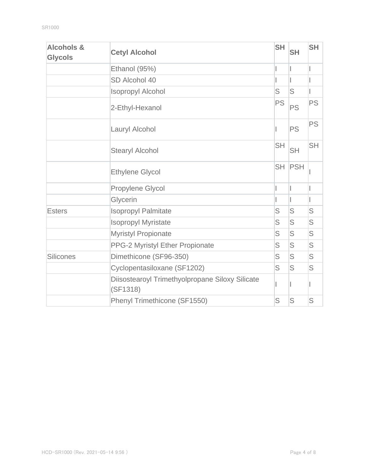| <b>Alcohols &amp;</b><br><b>Glycols</b> | <b>Cetyl Alcohol</b>                                        | <b>SH</b> | <b>SH</b> | <b>SH</b> |
|-----------------------------------------|-------------------------------------------------------------|-----------|-----------|-----------|
|                                         | Ethanol (95%)                                               |           |           |           |
|                                         | SD Alcohol 40                                               |           |           |           |
|                                         | <b>Isopropyl Alcohol</b>                                    | S         | S         |           |
|                                         | 2-Ethyl-Hexanol                                             | <b>PS</b> | <b>PS</b> | <b>PS</b> |
|                                         | Lauryl Alcohol                                              |           | <b>PS</b> | <b>PS</b> |
|                                         | <b>Stearyl Alcohol</b>                                      | <b>SH</b> | <b>SH</b> | <b>SH</b> |
|                                         | <b>Ethylene Glycol</b>                                      | <b>SH</b> | PSH       |           |
|                                         | Propylene Glycol                                            |           |           |           |
|                                         | Glycerin                                                    |           |           |           |
| <b>Esters</b>                           | <b>Isopropyl Palmitate</b>                                  | S         | S         | S         |
|                                         | <b>Isopropyl Myristate</b>                                  | S         | S         | S         |
|                                         | <b>Myristyl Propionate</b>                                  | S         | S         | S         |
|                                         | PPG-2 Myristyl Ether Propionate                             | S         | S         | S         |
| <b>Silicones</b>                        | Dimethicone (SF96-350)                                      | S         | S         | S         |
|                                         | Cyclopentasiloxane (SF1202)                                 | S         | S         | S         |
|                                         | Diisostearoyl Trimethyolpropane Siloxy Silicate<br>(SF1318) |           |           |           |
|                                         | Phenyl Trimethicone (SF1550)                                | S         | S         | S         |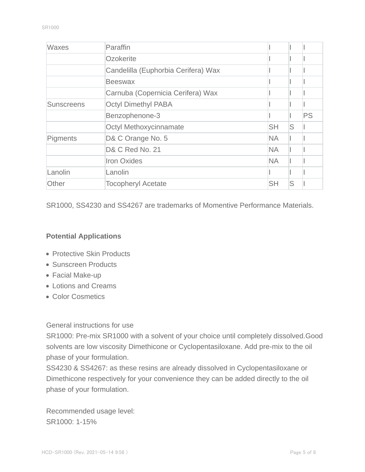| <b>Waxes</b>      | Paraffin                            |           |   |           |
|-------------------|-------------------------------------|-----------|---|-----------|
|                   | Ozokerite                           |           |   |           |
|                   | Candelilla (Euphorbia Cerifera) Wax |           |   |           |
|                   | <b>Beeswax</b>                      |           |   |           |
|                   | Carnuba (Copernicia Cerifera) Wax   |           |   |           |
| <b>Sunscreens</b> | <b>Octyl Dimethyl PABA</b>          |           |   |           |
|                   | Benzophenone-3                      |           |   | <b>PS</b> |
|                   | <b>Octyl Methoxycinnamate</b>       | <b>SH</b> | S |           |
| Pigments          | D& C Orange No. 5                   | <b>NA</b> |   |           |
|                   | D& C Red No. 21                     | <b>NA</b> |   |           |
|                   | <b>Iron Oxides</b>                  | <b>NA</b> |   |           |
| Lanolin           | Lanolin                             |           |   |           |
| Other             | <b>Tocopheryl Acetate</b>           | <b>SH</b> | S |           |

SR1000, SS4230 and SS4267 are trademarks of Momentive Performance Materials.

#### **Potential Applications**

- Protective Skin Products
- Sunscreen Products
- Facial Make-up
- Lotions and Creams
- Color Cosmetics

General instructions for use

SR1000: Pre-mix SR1000 with a solvent of your choice until completely dissolved.Good solvents are low viscosity Dimethicone or Cyclopentasiloxane. Add pre-mix to the oil phase of your formulation.

SS4230 & SS4267: as these resins are already dissolved in Cyclopentasiloxane or Dimethicone respectively for your convenience they can be added directly to the oil phase of your formulation.

Recommended usage level: SR1000: 1-15%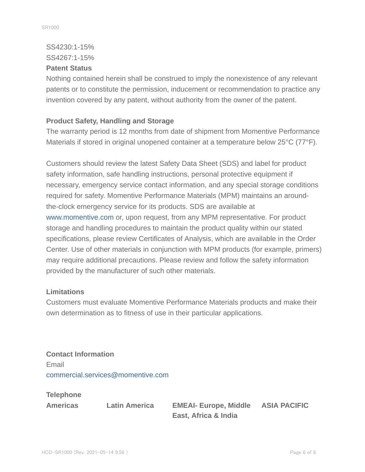# SS4230:1-15% SS4267:1-15%

#### **Patent Status**

Nothing contained herein shall be construed to imply the nonexistence of any relevant patents or to constitute the permission, inducement or recommendation to practice any invention covered by any patent, without authority from the owner of the patent.

#### **Product Safety, Handling and Storage**

The warranty period is 12 months from date of shipment from Momentive Performance Materials if stored in original unopened container at a temperature below 25°C (77°F).

Customers should review the latest Safety Data Sheet (SDS) and label for product safety information, safe handling instructions, personal protective equipment if necessary, emergency service contact information, and any special storage conditions required for safety. Momentive Performance Materials (MPM) maintains an aroundthe-clock emergency service for its products. SDS are available at www.momentive.com or, upon request, from any MPM representative. For product storage and handling procedures to maintain the product quality within our stated specifications, please review Certificates of Analysis, which are available in the Order Center. Use of other materials in conjunction with MPM products (for example, primers) may require additional precautions. Please review and follow the safety information provided by the manufacturer of such other materials.

#### **Limitations**

Customers must evaluate Momentive Performance Materials products and make their own determination as to fitness of use in their particular applications.

**Contact Information** Email commercial.services@momentive.com

**Telephone**

**Americas Latin America EMEAI- Europe, Middle East, Africa & India**

**ASIA PACIFIC**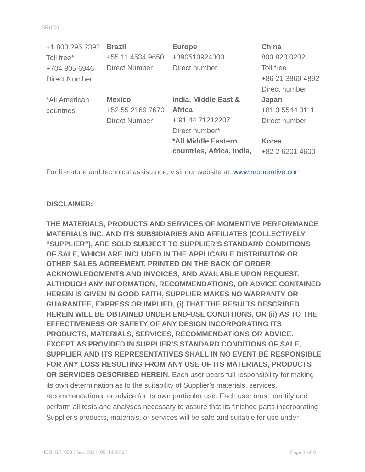| +1 800 295 2392      | <b>Brazil</b>        | <b>Europe</b>             | <b>China</b>     |
|----------------------|----------------------|---------------------------|------------------|
| Toll free*           | +55 11 4534 9650     | +390510924300             | 800 820 0202     |
| +704 805 6946        | <b>Direct Number</b> | Direct number             | Toll free        |
| <b>Direct Number</b> |                      |                           | +86 21 3860 4892 |
|                      |                      |                           | Direct number    |
| *All American        | <b>Mexico</b>        | India, Middle East &      | Japan            |
| countries            | +52 55 2169 7670     | <b>Africa</b>             | +81 3 5544 3111  |
|                      | <b>Direct Number</b> | + 91 44 71212207          | Direct number    |
|                      |                      | Direct number*            |                  |
|                      |                      | *All Middle Eastern       | <b>Korea</b>     |
|                      |                      | countries, Africa, India, | +82 2 6201 4600  |

For literature and technical assistance, visit our website at: www.momentive.com

#### **DISCLAIMER:**

**THE MATERIALS, PRODUCTS AND SERVICES OF MOMENTIVE PERFORMANCE MATERIALS INC. AND ITS SUBSIDIARIES AND AFFILIATES (COLLECTIVELY "SUPPLIER"), ARE SOLD SUBJECT TO SUPPLIER'S STANDARD CONDITIONS OF SALE, WHICH ARE INCLUDED IN THE APPLICABLE DISTRIBUTOR OR OTHER SALES AGREEMENT, PRINTED ON THE BACK OF ORDER ACKNOWLEDGMENTS AND INVOICES, AND AVAILABLE UPON REQUEST. ALTHOUGH ANY INFORMATION, RECOMMENDATIONS, OR ADVICE CONTAINED HEREIN IS GIVEN IN GOOD FAITH, SUPPLIER MAKES NO WARRANTY OR GUARANTEE, EXPRESS OR IMPLIED, (i) THAT THE RESULTS DESCRIBED HEREIN WILL BE OBTAINED UNDER END-USE CONDITIONS, OR (ii) AS TO THE EFFECTIVENESS OR SAFETY OF ANY DESIGN INCORPORATING ITS PRODUCTS, MATERIALS, SERVICES, RECOMMENDATIONS OR ADVICE. EXCEPT AS PROVIDED IN SUPPLIER'S STANDARD CONDITIONS OF SALE, SUPPLIER AND ITS REPRESENTATIVES SHALL IN NO EVENT BE RESPONSIBLE FOR ANY LOSS RESULTING FROM ANY USE OF ITS MATERIALS, PRODUCTS OR SERVICES DESCRIBED HEREIN.** Each user bears full responsibility for making its own determination as to the suitability of Supplier's materials, services, recommendations, or advice for its own particular use. Each user must identify and perform all tests and analyses necessary to assure that its finished parts incorporating Supplier's products, materials, or services will be safe and suitable for use under